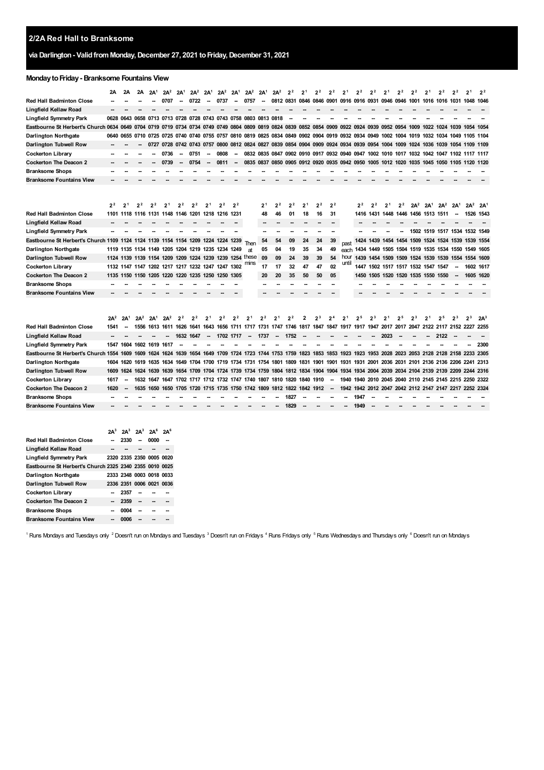## **2/2A Red Hall to Branksome**

## **via Darlington- ValidfromMonday,December 27, 2021 toFriday,December 31, 2021**

## **MondaytoFriday- Branksome Fountains View**

|                                                                                  | 2A             | 2A                       | 2Α                       | 2A <sup>1</sup> | $2A^2$                   | 2A <sup>1</sup>          | $2A^2$                                  | 2A <sup>1</sup> | $2A^2$                                            | 2A <sup>1</sup> | $2A^2$                                                          | 2A <sup>1</sup>                                                       | $2A^2$         | 2 <sup>2</sup>      | 2 <sup>1</sup> | 2 <sup>2</sup> | 2 <sup>2</sup>                                                                                                                              | 2 <sup>1</sup> | 22             | 2 <sup>2</sup> | 2 <sup>1</sup> | 2 <sup>2</sup> | 2 <sup>2</sup> | 21                                                     | 2 <sup>2</sup> | 2 <sup>2</sup>  | 2 <sup>1</sup> | 2 <sup>2</sup>  |
|----------------------------------------------------------------------------------|----------------|--------------------------|--------------------------|-----------------|--------------------------|--------------------------|-----------------------------------------|-----------------|---------------------------------------------------|-----------------|-----------------------------------------------------------------|-----------------------------------------------------------------------|----------------|---------------------|----------------|----------------|---------------------------------------------------------------------------------------------------------------------------------------------|----------------|----------------|----------------|----------------|----------------|----------------|--------------------------------------------------------|----------------|-----------------|----------------|-----------------|
| Red Hall Badminton Close                                                         |                |                          |                          |                 |                          |                          |                                         |                 |                                                   |                 |                                                                 |                                                                       |                |                     |                |                | 0812 0831 0846 0846 0901 0916 0916 0931 0946 0946                                                                                           |                |                |                |                |                |                | 1001 1016 1016 1031 1048 1046                          |                |                 |                |                 |
| Lingfield Kellaw Road                                                            |                |                          |                          |                 |                          |                          |                                         |                 |                                                   |                 |                                                                 |                                                                       |                |                     |                |                |                                                                                                                                             |                |                |                |                |                |                |                                                        |                |                 |                |                 |
| Lingfield Symmetry Park                                                          | 0628 0643      |                          | 0658                     |                 |                          |                          |                                         |                 |                                                   |                 |                                                                 | 0713 0713 0728 0728 0743 0743 0758 0803 0813 0818                     |                |                     |                |                |                                                                                                                                             |                |                |                |                |                |                |                                                        |                |                 |                |                 |
| Eastbourne St Herbert's Church 0634                                              |                | 0649                     |                          |                 |                          |                          |                                         |                 |                                                   |                 |                                                                 |                                                                       |                |                     |                |                | 0704 0719 0719 0734 0734 0749 0749 0804 0809 0819 0824 0839 0852 0854 0909 0922 0924 0939 0952 0954 1009 1022 1024 1039 1054 1054           |                |                |                |                |                |                |                                                        |                |                 |                |                 |
| Darlington Northgate                                                             |                |                          |                          |                 |                          |                          |                                         |                 |                                                   |                 |                                                                 |                                                                       |                |                     |                |                | 0640 0655 0710 0725 0725 0740 0740 0755 0757 0810 0819 0825 0834 0849 0902 0904 0919 0932 0934 0949 1002 1004 1019 1032 1034 1049 1105 1104 |                |                |                |                |                |                |                                                        |                |                 |                |                 |
| Darlington Tubwell Row                                                           |                |                          |                          |                 |                          |                          |                                         |                 |                                                   |                 |                                                                 |                                                                       |                |                     |                |                | 0727 0728 0742 0743 0757 0800 0812 0824 0827 0839 0854 0904 0909 0924 0934 0939 0954 1004 1009 1024 1036 1039 1054 1109 1109                |                |                |                |                |                |                |                                                        |                |                 |                |                 |
| <b>Cockerton Library</b>                                                         |                |                          |                          |                 | 0736                     | $\overline{\phantom{a}}$ | 0751                                    | --              | 0808                                              |                 |                                                                 |                                                                       |                |                     |                |                | 0832 0835 0847 0902 0910 0917 0932 0940 0947 1002 1010 1017 1032 1042 1047 1102 1117 1117                                                   |                |                |                |                |                |                |                                                        |                |                 |                |                 |
| <b>Cockerton The Deacon 2</b>                                                    |                |                          |                          |                 | 0739                     |                          | 0754                                    |                 | 0811                                              |                 |                                                                 |                                                                       |                |                     |                |                | 0835 0837 0850 0905 0912 0920 0935 0942 0950 1005 1012 1020 1035 1045 1050 1105 1120 1120                                                   |                |                |                |                |                |                |                                                        |                |                 |                |                 |
| <b>Branksome Shops</b>                                                           |                |                          |                          |                 |                          |                          |                                         |                 |                                                   |                 |                                                                 |                                                                       |                |                     |                |                |                                                                                                                                             |                |                |                |                |                |                |                                                        |                |                 |                |                 |
| <b>Branksome Fountains View</b>                                                  |                |                          |                          |                 |                          |                          |                                         |                 |                                                   |                 |                                                                 |                                                                       |                |                     |                |                |                                                                                                                                             |                |                |                |                |                |                |                                                        |                |                 |                |                 |
|                                                                                  | 2 <sup>2</sup> | 2 <sup>1</sup>           | 2 <sup>2</sup>           | 2 <sup>2</sup>  | 2 <sup>1</sup>           | 2 <sup>2</sup>           | 2 <sup>2</sup>                          | 2 <sup>1</sup>  | 2 <sup>2</sup>                                    | 2 <sup>2</sup>  |                                                                 | 21                                                                    | 2 <sup>2</sup> | 2 <sup>2</sup>      | 2 <sup>1</sup> | 2 <sup>2</sup> | 2 <sup>2</sup>                                                                                                                              |                | 2 <sup>2</sup> | 2 <sup>2</sup> | 2 <sup>1</sup> | 2 <sup>2</sup> |                | $2A^2$ $2A^1$                                          | $2A^2$         | 2A <sup>1</sup> | $2A^2$         | 2A <sup>1</sup> |
| Red Hall Badminton Close                                                         |                |                          |                          |                 |                          |                          |                                         |                 | 1101 1118 1116 1131 1148 1146 1201 1218 1216 1231 |                 |                                                                 | 48                                                                    | 46             | 01                  | 18             | 16             | 31                                                                                                                                          |                |                |                |                |                |                | 1416 1431 1448 1446 1456 1513 1511                     |                | --              | 1526 1543      |                 |
| Lingfield Kellaw Road                                                            |                |                          |                          |                 |                          |                          |                                         |                 |                                                   |                 |                                                                 |                                                                       |                |                     |                |                |                                                                                                                                             |                |                |                |                |                |                |                                                        |                |                 |                |                 |
| Lingfield Symmetry Park                                                          |                |                          |                          |                 |                          |                          |                                         |                 |                                                   |                 |                                                                 |                                                                       |                |                     |                |                |                                                                                                                                             |                |                |                |                |                |                | 1502 1519 1517 1534 1532 1549                          |                |                 |                |                 |
| Eastbourne St Herbert's Church 1109 1124 1124 1139 1154 1154 1209 1224 1224 1239 |                |                          |                          |                 |                          |                          |                                         |                 |                                                   |                 | Then                                                            | 54                                                                    | 54             | 09                  | 24             | 24             | 39                                                                                                                                          | past           |                |                |                |                |                | 1424 1439 1454 1454 1509 1524 1524 1539 1539 1554      |                |                 |                |                 |
| Darlington Northgate                                                             |                |                          |                          |                 |                          |                          |                                         |                 | 1119 1135 1134 1149 1205 1204 1219 1235 1234 1249 |                 | at                                                              | 05                                                                    | 04             | 19                  | 35             | 34             | 49                                                                                                                                          |                |                |                |                |                |                | each 1434 1449 1505 1504 1519 1535 1534 1550 1549 1605 |                |                 |                |                 |
| Darlington Tubwell Row                                                           |                |                          |                          |                 |                          |                          |                                         |                 |                                                   |                 | 1124 1139 1139 1154 1209 1209 1224 1239 1239 1254 these<br>mıns | 09                                                                    | 09             | 24                  | 39             | 39             | 54                                                                                                                                          | hour           |                |                |                |                |                | 1439 1454 1509 1509 1524 1539 1539 1554 1554 1609      |                |                 |                |                 |
| Cockerton Library                                                                |                |                          |                          |                 |                          |                          |                                         |                 | 1132 1147 1147 1202 1217 1217 1232 1247 1247 1302 |                 |                                                                 | 17                                                                    | 17             | 32                  | 47             | 47             | 02                                                                                                                                          | until          |                |                |                |                |                | 1447 1502 1517 1517 1532 1547 1547                     |                |                 | 1602 1617      |                 |
| <b>Cockerton The Deacon 2</b>                                                    |                |                          |                          |                 |                          |                          | 1135 1150 1150 1205 1220 1220 1235 1250 |                 | 1250 1305                                         |                 |                                                                 | 20                                                                    | 20             | 35                  | 50             | 50             | 05                                                                                                                                          |                |                |                |                |                |                | 1450 1505 1520 1520 1535 1550 1550                     |                |                 | 1605 1620      |                 |
| <b>Branksome Shops</b>                                                           |                |                          |                          |                 |                          |                          |                                         |                 |                                                   |                 |                                                                 |                                                                       |                |                     |                |                |                                                                                                                                             |                |                |                |                |                |                |                                                        |                |                 |                |                 |
| Branksome Fountains View                                                         |                |                          |                          |                 |                          |                          |                                         |                 |                                                   |                 |                                                                 |                                                                       |                |                     |                |                |                                                                                                                                             |                |                |                |                |                |                |                                                        |                |                 |                |                 |
|                                                                                  | $2A^2$         | 2A                       | $2A^2$                   | $2A^1$          | $2A^2$                   | 2 <sup>2</sup>           | 2 <sup>2</sup>                          | 2 <sup>1</sup>  | 2 <sup>2</sup>                                    | 2 <sup>2</sup>  | 2 <sup>1</sup>                                                  | 2 <sup>2</sup>                                                        | $2^1$          | 2 <sup>2</sup>      | 2              | 2 <sup>3</sup> | 2 <sup>4</sup>                                                                                                                              | 2 <sup>1</sup> | 2 <sup>5</sup> | $2^3$          | 2 <sup>1</sup> | 2 <sup>5</sup> | $2^3$          | $2^1$                                                  | 25             | $2^3$           | $2^3$          | $2A^3$          |
| <b>Red Hall Badminton Close</b>                                                  | 1541           |                          | 1556                     |                 | 1613 1611                | 1626                     |                                         |                 |                                                   |                 |                                                                 | 1641 1643 1656 1711 1717 1731 1747 1746                               |                |                     |                | 1817 1847 1847 |                                                                                                                                             | 1917           | 1917           | 1947           | 2017           | 2017           |                | 2047 2122 2117 2152 2227                               |                |                 |                | 2255            |
| Lingfield Kellaw Road                                                            |                |                          |                          |                 |                          | 1632 1647                |                                         |                 | 1702 1717                                         |                 |                                                                 | 1737                                                                  |                | 1752                |                |                |                                                                                                                                             |                |                |                | 2023           |                |                |                                                        | 2122           |                 |                |                 |
| Lingfield Symmetry Park                                                          |                |                          | 1547 1604 1602 1619 1617 |                 |                          |                          |                                         |                 |                                                   |                 |                                                                 |                                                                       |                |                     |                |                |                                                                                                                                             |                |                |                |                |                |                |                                                        |                |                 |                | 2300            |
| Eastbourne St Herbert's Church 1554 1609                                         |                |                          | 1609 1624 1624 1639      |                 |                          |                          | 1654 1649                               |                 |                                                   |                 |                                                                 | 1709 1724 1723 1744 1753                                              |                | 1759 1823           |                | 1853 1853      |                                                                                                                                             | 1923           | 1923           |                |                |                |                | 1953 2028 2023 2053 2128 2128 2158 2233 2305           |                |                 |                |                 |
| Darlington Northgate                                                             |                |                          |                          |                 |                          |                          |                                         |                 |                                                   |                 |                                                                 |                                                                       |                |                     |                |                | 1604 1620 1619 1635 1634 1649 1704 1700 1719 1734 1731 1754 1801 1809 1831 1901 1901 1931 1931 2001 2036 2031 2101 2136 2136 2206 2241 2313 |                |                |                |                |                |                |                                                        |                |                 |                |                 |
| Darlington Tubwell Row                                                           | 1609           | 1624                     |                          |                 |                          |                          |                                         |                 |                                                   |                 |                                                                 |                                                                       |                |                     |                |                | 1624 1639 1639 1654 1709 1704 1724 1739 1734 1759 1804 1812 1834 1904 1904 1934 1934 2004 2039 2034 2104 2139 2139 2209 2244 2316           |                |                |                |                |                |                |                                                        |                |                 |                |                 |
| Cockerton Library                                                                | 1617           | $\overline{\phantom{a}}$ |                          |                 |                          |                          |                                         |                 |                                                   |                 |                                                                 | 1632 1647 1647 1702 1717 1712 1732 1747 1740 1807 1810 1820 1840 1910 |                |                     |                |                | $\overline{\phantom{a}}$                                                                                                                    |                |                |                |                |                |                | 1940 1940 2010 2045 2040 2110 2145 2145 2215 2250 2322 |                |                 |                |                 |
| <b>Cockerton The Deacon 2</b>                                                    | 1620           |                          | 1635                     | 1650 1650       |                          | 1705                     | 1720                                    |                 |                                                   |                 |                                                                 | 1715 1735 1750 1742 1809                                              |                | 1812 1822 1842 1912 |                |                |                                                                                                                                             |                |                |                |                |                |                | 1942 1942 2012 2047 2042 2112 2147 2147 2217 2252 2324 |                |                 |                |                 |
| <b>Branksome Shops</b>                                                           |                |                          |                          |                 |                          |                          |                                         |                 |                                                   |                 |                                                                 |                                                                       |                | 1827                |                |                |                                                                                                                                             |                | 1947           |                |                |                |                |                                                        |                |                 |                |                 |
| <b>Branksome Fountains View</b>                                                  | $2A^3$         | $2A^3$                   | $2A^3$                   | $2A^6$          | 2A <sup>6</sup>          |                          |                                         |                 |                                                   |                 |                                                                 |                                                                       |                | 1829                |                |                |                                                                                                                                             |                | 1949           |                |                |                |                |                                                        |                |                 |                |                 |
| Red Hall Badminton Close                                                         |                | 2330                     | $\overline{\phantom{a}}$ | 0000            | $\overline{\phantom{a}}$ |                          |                                         |                 |                                                   |                 |                                                                 |                                                                       |                |                     |                |                |                                                                                                                                             |                |                |                |                |                |                |                                                        |                |                 |                |                 |
| Lingfield Kellaw Road                                                            |                |                          |                          |                 |                          |                          |                                         |                 |                                                   |                 |                                                                 |                                                                       |                |                     |                |                |                                                                                                                                             |                |                |                |                |                |                |                                                        |                |                 |                |                 |
| Lingfield Symmetry Park                                                          |                |                          | 2320 2335 2350 0005 0020 |                 |                          |                          |                                         |                 |                                                   |                 |                                                                 |                                                                       |                |                     |                |                |                                                                                                                                             |                |                |                |                |                |                |                                                        |                |                 |                |                 |
| Eastbourne St Herbert's Church 2325 2340 2355 0010 0025                          |                |                          |                          |                 |                          |                          |                                         |                 |                                                   |                 |                                                                 |                                                                       |                |                     |                |                |                                                                                                                                             |                |                |                |                |                |                |                                                        |                |                 |                |                 |
| Darlington Northgate                                                             |                |                          | 2333 2348 0003 0018 0033 |                 |                          |                          |                                         |                 |                                                   |                 |                                                                 |                                                                       |                |                     |                |                |                                                                                                                                             |                |                |                |                |                |                |                                                        |                |                 |                |                 |

**Cockerton Library Cockerton The Deacon 2 Branksome Shops -- -- -- 0004 -- -- -- -- -- -- -- -- --**

**Darlington Tubwell Row 2336 2351 0006 0021 0036**

<span id="page-0-5"></span>**Branksome Fountains View -- 0006 -- -- --**

<span id="page-0-4"></span><span id="page-0-3"></span><span id="page-0-2"></span><span id="page-0-1"></span><span id="page-0-0"></span><sup>1</sup> Runs Mondays and Tuesdays only <sup>2</sup> Doesn't run on Mondays and Tuesdays <sup>3</sup> Doesn't run on Friday<sup>s 4</sup> Runs Fridays only <sup>5</sup> Runs Wednesdays and Thursdays only <sup>6</sup> Doesn't run on Mondays